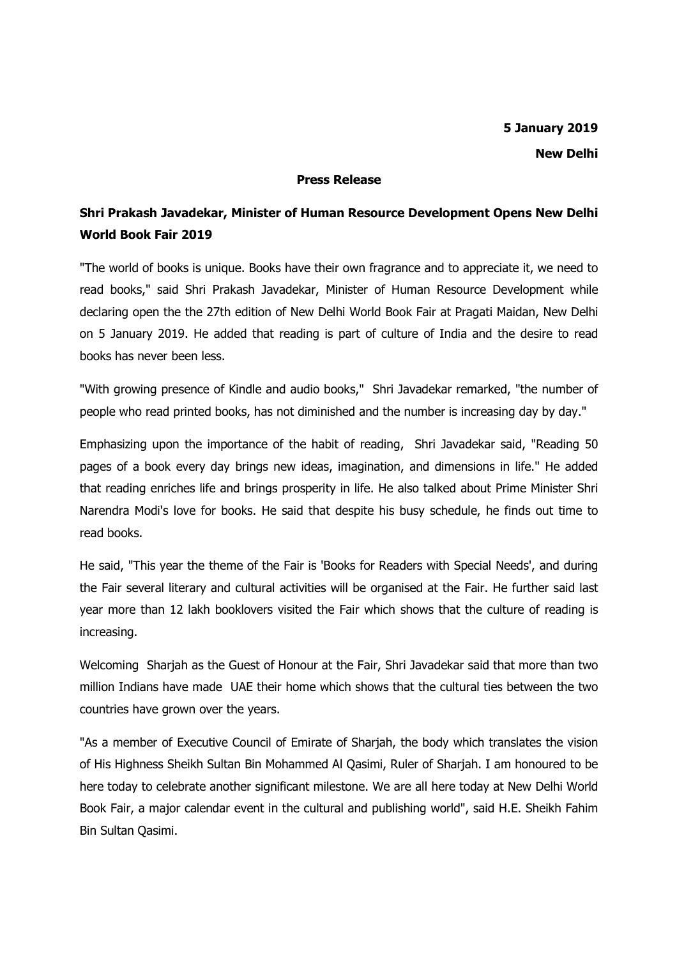## **Press Release**

## **Shri Prakash Javadekar, Minister of Human Resource Development Opens New Delhi World Book Fair 2019**

"The world of books is unique. Books have their own fragrance and to appreciate it, we need to read books," said Shri Prakash Javadekar, Minister of Human Resource Development while declaring open the the 27th edition of New Delhi World Book Fair at Pragati Maidan, New Delhi on 5 January 2019. He added that reading is part of culture of India and the desire to read books has never been less.

"With growing presence of Kindle and audio books," Shri Javadekar remarked, "the number of people who read printed books, has not diminished and the number is increasing day by day."

Emphasizing upon the importance of the habit of reading, Shri Javadekar said, "Reading 50 pages of a book every day brings new ideas, imagination, and dimensions in life." He added that reading enriches life and brings prosperity in life. He also talked about Prime Minister Shri Narendra Modi's love for books. He said that despite his busy schedule, he finds out time to read books.

He said, "This year the theme of the Fair is 'Books for Readers with Special Needs', and during the Fair several literary and cultural activities will be organised at the Fair. He further said last year more than 12 lakh booklovers visited the Fair which shows that the culture of reading is increasing.

Welcoming Sharjah as the Guest of Honour at the Fair, Shri Javadekar said that more than two million Indians have made UAE their home which shows that the cultural ties between the two countries have grown over the years.

"As a member of Executive Council of Emirate of Sharjah, the body which translates the vision of His Highness Sheikh Sultan Bin Mohammed Al Qasimi, Ruler of Sharjah. I am honoured to be here today to celebrate another significant milestone. We are all here today at New Delhi World Book Fair, a major calendar event in the cultural and publishing world", said H.E. Sheikh Fahim Bin Sultan Qasimi.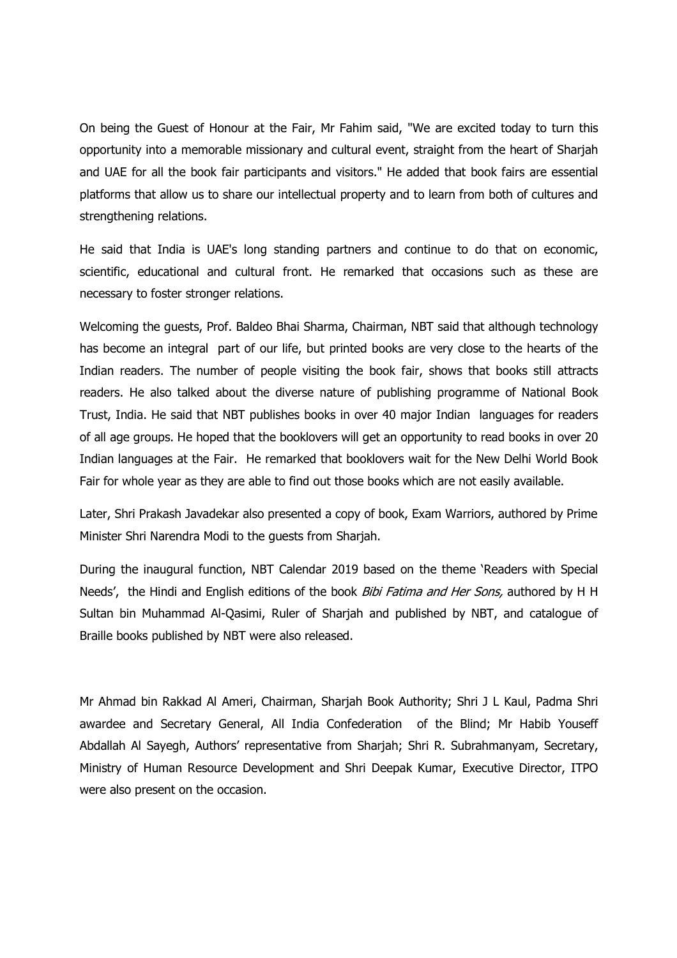On being the Guest of Honour at the Fair, Mr Fahim said, "We are excited today to turn this opportunity into a memorable missionary and cultural event, straight from the heart of Sharjah and UAE for all the book fair participants and visitors." He added that book fairs are essential platforms that allow us to share our intellectual property and to learn from both of cultures and strengthening relations.

He said that India is UAE's long standing partners and continue to do that on economic, scientific, educational and cultural front. He remarked that occasions such as these are necessary to foster stronger relations.

Welcoming the guests, Prof. Baldeo Bhai Sharma, Chairman, NBT said that although technology has become an integral part of our life, but printed books are very close to the hearts of the Indian readers. The number of people visiting the book fair, shows that books still attracts readers. He also talked about the diverse nature of publishing programme of National Book Trust, India. He said that NBT publishes books in over 40 major Indian languages for readers of all age groups. He hoped that the booklovers will get an opportunity to read books in over 20 Indian languages at the Fair. He remarked that booklovers wait for the New Delhi World Book Fair for whole year as they are able to find out those books which are not easily available.

Later, Shri Prakash Javadekar also presented a copy of book, Exam Warriors, authored by Prime Minister Shri Narendra Modi to the guests from Sharjah.

During the inaugural function, NBT Calendar 2019 based on the theme 'Readers with Special Needs', the Hindi and English editions of the book *Bibi Fatima and Her Sons*, authored by H H Sultan bin Muhammad Al-Qasimi, Ruler of Sharjah and published by NBT, and catalogue of Braille books published by NBT were also released.

Mr Ahmad bin Rakkad Al Ameri, Chairman, Sharjah Book Authority; Shri J L Kaul, Padma Shri awardee and Secretary General, All India Confederation of the Blind; Mr Habib Youseff Abdallah Al Sayegh, Authors' representative from Sharjah; Shri R. Subrahmanyam, Secretary, Ministry of Human Resource Development and Shri Deepak Kumar, Executive Director, ITPO were also present on the occasion.